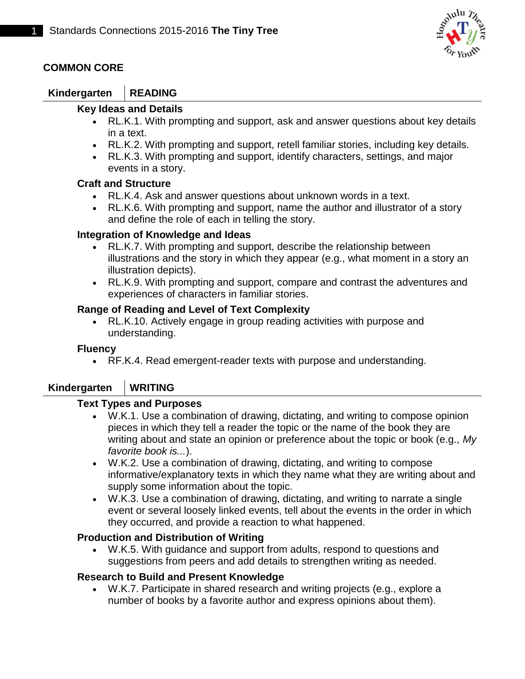

## **COMMON CORE**

## **Kindergarten READING**

#### **Key Ideas and Details**

- RL.K.1. With prompting and support, ask and answer questions about key details in a text.
- RL.K.2. With prompting and support, retell familiar stories, including key details.
- RL.K.3. With prompting and support, identify characters, settings, and major events in a story.

#### **Craft and Structure**

- RL.K.4. Ask and answer questions about unknown words in a text.
- RL.K.6. With prompting and support, name the author and illustrator of a story and define the role of each in telling the story.

#### **Integration of Knowledge and Ideas**

- RL.K.7. With prompting and support, describe the relationship between illustrations and the story in which they appear (e.g., what moment in a story an illustration depicts).
- RL.K.9. With prompting and support, compare and contrast the adventures and experiences of characters in familiar stories.

#### **Range of Reading and Level of Text Complexity**

 RL.K.10. Actively engage in group reading activities with purpose and understanding.

#### **Fluency**

RF.K.4. Read emergent-reader texts with purpose and understanding.

### **Kindergarten WRITING**

#### **Text Types and Purposes**

- W.K.1. Use a combination of drawing, dictating, and writing to compose opinion pieces in which they tell a reader the topic or the name of the book they are writing about and state an opinion or preference about the topic or book (e.g., *My favorite book is...*).
- W.K.2. Use a combination of drawing, dictating, and writing to compose informative/explanatory texts in which they name what they are writing about and supply some information about the topic.
- W.K.3. Use a combination of drawing, dictating, and writing to narrate a single event or several loosely linked events, tell about the events in the order in which they occurred, and provide a reaction to what happened.

#### **Production and Distribution of Writing**

 W.K.5. With guidance and support from adults, respond to questions and suggestions from peers and add details to strengthen writing as needed.

#### **Research to Build and Present Knowledge**

 W.K.7. Participate in shared research and writing projects (e.g., explore a number of books by a favorite author and express opinions about them).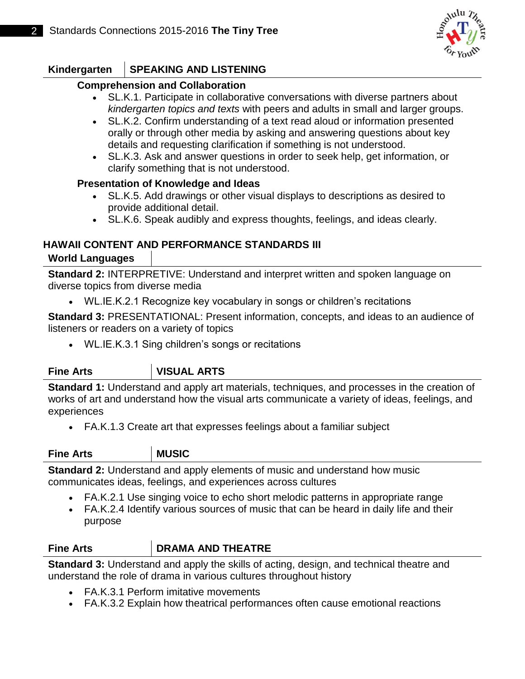

# **Kindergarten SPEAKING AND LISTENING**

#### **Comprehension and Collaboration**

- SL.K.1. Participate in collaborative conversations with diverse partners about *kindergarten topics and texts* with peers and adults in small and larger groups.
- SL.K.2. Confirm understanding of a text read aloud or information presented orally or through other media by asking and answering questions about key details and requesting clarification if something is not understood.
- SL.K.3. Ask and answer questions in order to seek help, get information, or clarify something that is not understood.

#### **Presentation of Knowledge and Ideas**

- SL.K.5. Add drawings or other visual displays to descriptions as desired to provide additional detail.
- SL.K.6. Speak audibly and express thoughts, feelings, and ideas clearly.

### **HAWAII CONTENT AND PERFORMANCE STANDARDS III World Languages**

**Standard 2:** INTERPRETIVE: Understand and interpret written and spoken language on diverse topics from diverse media

WL.IE.K.2.1 Recognize key vocabulary in songs or children's recitations

**Standard 3: PRESENTATIONAL: Present information, concepts, and ideas to an audience of** listeners or readers on a variety of topics

WL.IE.K.3.1 Sing children's songs or recitations

# **Fine Arts VISUAL ARTS**

**Standard 1:** Understand and apply art materials, techniques, and processes in the creation of works of art and understand how the visual arts communicate a variety of ideas, feelings, and experiences

FA.K.1.3 Create art that expresses feelings about a familiar subject

#### **Fine Arts** MUSIC

**Standard 2:** Understand and apply elements of music and understand how music communicates ideas, feelings, and experiences across cultures

- FA.K.2.1 Use singing voice to echo short melodic patterns in appropriate range
- FA.K.2.4 Identify various sources of music that can be heard in daily life and their purpose

### **Fine Arts DRAMA AND THEATRE**

**Standard 3:** Understand and apply the skills of acting, design, and technical theatre and understand the role of drama in various cultures throughout history

- FA.K.3.1 Perform imitative movements
- FA.K.3.2 Explain how theatrical performances often cause emotional reactions